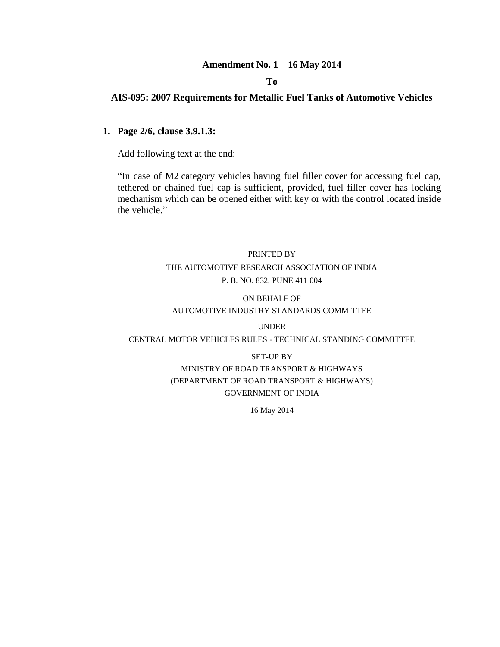## **Amendment No. 1 16 May 2014**

#### **To**

## **AIS-095: 2007 Requirements for Metallic Fuel Tanks of Automotive Vehicles**

## **1. Page 2/6, clause 3.9.1.3:**

Add following text at the end:

"In case of M2 category vehicles having fuel filler cover for accessing fuel cap, tethered or chained fuel cap is sufficient, provided, fuel filler cover has locking mechanism which can be opened either with key or with the control located inside the vehicle."

#### PRINTED BY

## THE AUTOMOTIVE RESEARCH ASSOCIATION OF INDIA P. B. NO. 832, PUNE 411 004

## ON BEHALF OF AUTOMOTIVE INDUSTRY STANDARDS COMMITTEE

#### UNDER

#### CENTRAL MOTOR VEHICLES RULES - TECHNICAL STANDING COMMITTEE

#### SET-UP BY

## MINISTRY OF ROAD TRANSPORT & HIGHWAYS (DEPARTMENT OF ROAD TRANSPORT & HIGHWAYS) GOVERNMENT OF INDIA

16 May 2014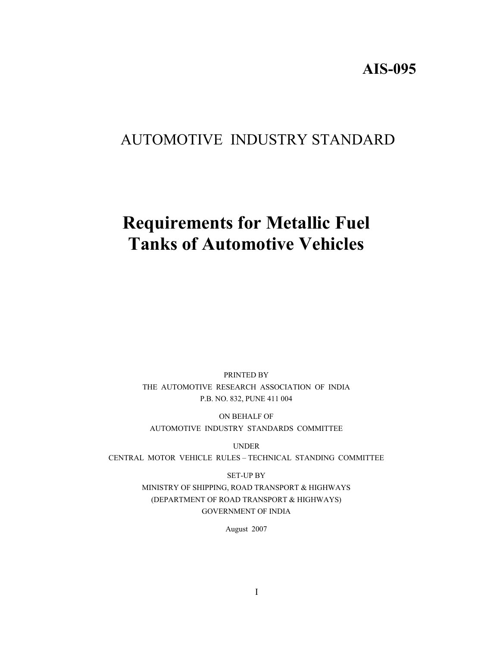## **AIS-095**

## AUTOMOTIVE INDUSTRY STANDARD

# **Requirements for Metallic Fuel Tanks of Automotive Vehicles**

PRINTED BY THE AUTOMOTIVE RESEARCH ASSOCIATION OF INDIA P.B. NO. 832, PUNE 411 004

ON BEHALF OF AUTOMOTIVE INDUSTRY STANDARDS COMMITTEE

UNDER CENTRAL MOTOR VEHICLE RULES – TECHNICAL STANDING COMMITTEE

> SET-UP BY MINISTRY OF SHIPPING, ROAD TRANSPORT & HIGHWAYS (DEPARTMENT OF ROAD TRANSPORT & HIGHWAYS) GOVERNMENT OF INDIA

> > August 2007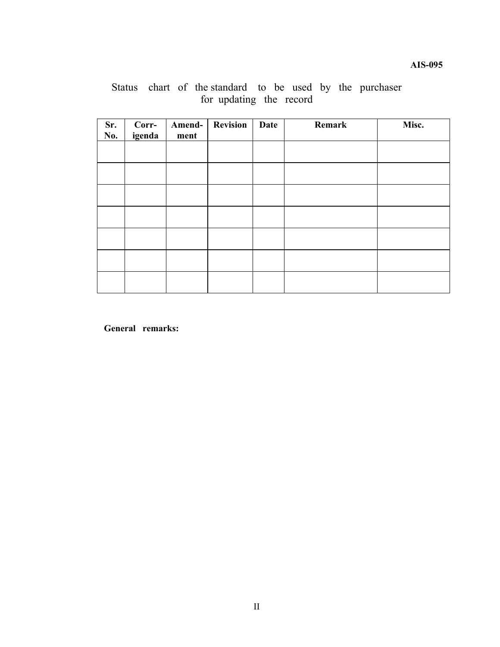## Status chart of the standard to be used by the purchaser for updating the record

| Sr.<br>No. | Corr-<br>igenda | ment | Amend-   Revision | <b>Date</b> | Remark | Misc. |
|------------|-----------------|------|-------------------|-------------|--------|-------|
|            |                 |      |                   |             |        |       |
|            |                 |      |                   |             |        |       |
|            |                 |      |                   |             |        |       |
|            |                 |      |                   |             |        |       |
|            |                 |      |                   |             |        |       |
|            |                 |      |                   |             |        |       |
|            |                 |      |                   |             |        |       |

**General remarks:**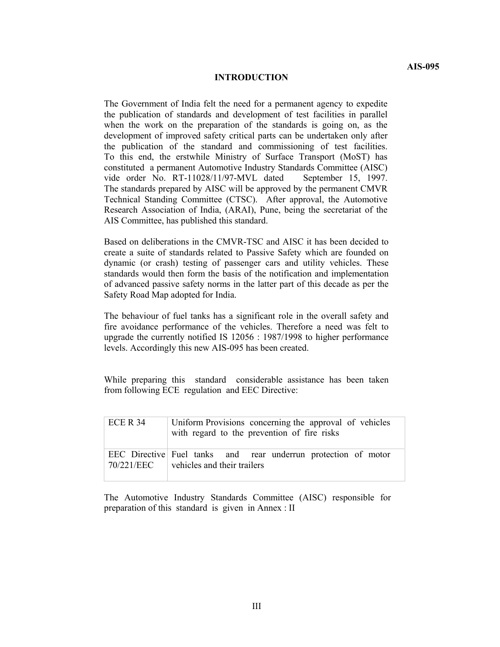#### **INTRODUCTION**

The Government of India felt the need for a permanent agency to expedite the publication of standards and development of test facilities in parallel when the work on the preparation of the standards is going on, as the development of improved safety critical parts can be undertaken only after the publication of the standard and commissioning of test facilities. To this end, the erstwhile Ministry of Surface Transport (MoST) has constituted a permanent Automotive Industry Standards Committee (AISC) vide order No. RT-11028/11/97-MVL dated September 15, 1997. The standards prepared by AISC will be approved by the permanent CMVR Technical Standing Committee (CTSC). After approval, the Automotive Research Association of India, (ARAI), Pune, being the secretariat of the AIS Committee, has published this standard.

Based on deliberations in the CMVR-TSC and AISC it has been decided to create a suite of standards related to Passive Safety which are founded on dynamic (or crash) testing of passenger cars and utility vehicles. These standards would then form the basis of the notification and implementation of advanced passive safety norms in the latter part of this decade as per the Safety Road Map adopted for India.

The behaviour of fuel tanks has a significant role in the overall safety and fire avoidance performance of the vehicles. Therefore a need was felt to upgrade the currently notified IS 12056 : 1987/1998 to higher performance levels. Accordingly this new AIS-095 has been created.

While preparing this standard considerable assistance has been taken from following ECE regulation and EEC Directive:

| ECE R 34 | Uniform Provisions concerning the approval of vehicles<br>with regard to the prevention of fire risks      |
|----------|------------------------------------------------------------------------------------------------------------|
|          | EEC Directive Fuel tanks and rear underrun protection of motor<br>$70/221/EEC$ vehicles and their trailers |

The Automotive Industry Standards Committee (AISC) responsible for preparation of this standard is given in Annex : II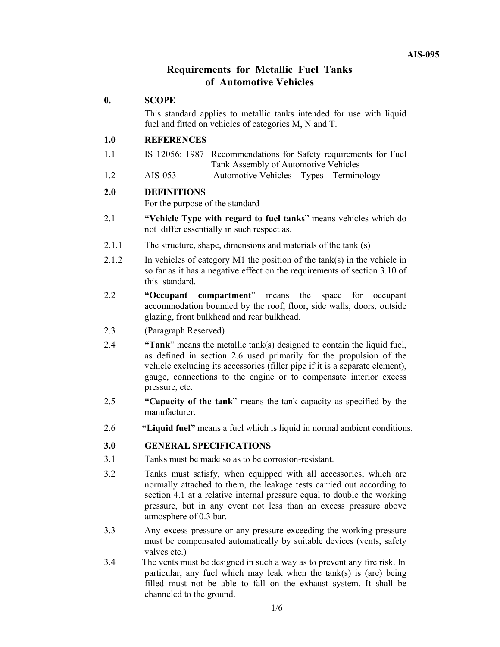## **Requirements for Metallic Fuel Tanks of Automotive Vehicles**

## **0. SCOPE**

 This standard applies to metallic tanks intended for use with liquid fuel and fitted on vehicles of categories M, N and T.

#### **1.0 REFERENCES**

- 1.1 IS 12056: 1987 Recommendations for Safety requirements for Fuel Tank Assembly of Automotive Vehicles
- 1.2 AIS-053 Automotive Vehicles – Types – Terminology

## **2.0 DEFINITIONS**

For the purpose of the standard

- 2.1 **"Vehicle Type with regard to fuel tanks**" means vehicles which do not differ essentially in such respect as.
- 2.1.1 The structure, shape, dimensions and materials of the tank (s)
- 2.1.2 In vehicles of category M1 the position of the tank(s) in the vehicle in so far as it has a negative effect on the requirements of section 3.10 of this standard.
- 2.2 **"Occupant compartment**" means the space for occupant accommodation bounded by the roof, floor, side walls, doors, outside glazing, front bulkhead and rear bulkhead.
- 2.3 (Paragraph Reserved)
- 2.4 **"Tank**" means the metallic tank(s) designed to contain the liquid fuel, as defined in section 2.6 used primarily for the propulsion of the vehicle excluding its accessories (filler pipe if it is a separate element), gauge, connections to the engine or to compensate interior excess pressure, etc.
- 2.5 **"Capacity of the tank**" means the tank capacity as specified by the manufacturer.
- 2.6 **"Liquid fuel"** means a fuel which is liquid in normal ambient conditions.

## **3.0 GENERAL SPECIFICATIONS**

- 3.1 Tanks must be made so as to be corrosion-resistant.
- 3.2 Tanks must satisfy, when equipped with all accessories, which are normally attached to them, the leakage tests carried out according to section 4.1 at a relative internal pressure equal to double the working pressure, but in any event not less than an excess pressure above atmosphere of 0.3 bar.
- 3.3 Any excess pressure or any pressure exceeding the working pressure must be compensated automatically by suitable devices (vents, safety valves etc.)
- 3.4 The vents must be designed in such a way as to prevent any fire risk. In particular, any fuel which may leak when the tank(s) is (are) being filled must not be able to fall on the exhaust system. It shall be channeled to the ground.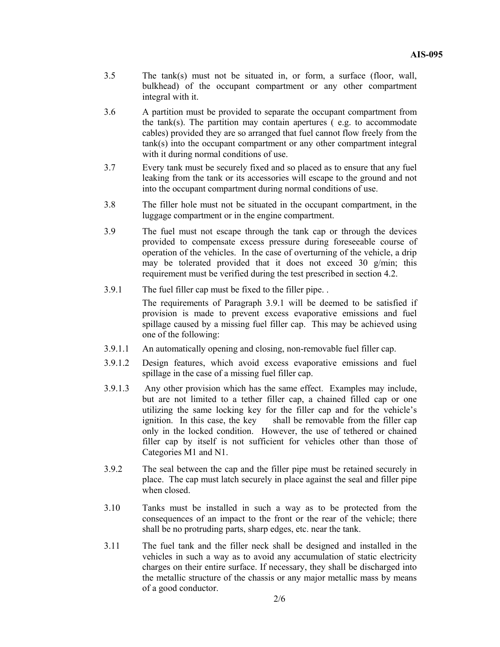- 3.5 The tank(s) must not be situated in, or form, a surface (floor, wall, bulkhead) of the occupant compartment or any other compartment integral with it.
- 3.6 A partition must be provided to separate the occupant compartment from the tank(s). The partition may contain apertures ( e.g. to accommodate cables) provided they are so arranged that fuel cannot flow freely from the tank(s) into the occupant compartment or any other compartment integral with it during normal conditions of use.
- 3.7 Every tank must be securely fixed and so placed as to ensure that any fuel leaking from the tank or its accessories will escape to the ground and not into the occupant compartment during normal conditions of use.
- 3.8 The filler hole must not be situated in the occupant compartment, in the luggage compartment or in the engine compartment.
- 3.9 The fuel must not escape through the tank cap or through the devices provided to compensate excess pressure during foreseeable course of operation of the vehicles. In the case of overturning of the vehicle, a drip may be tolerated provided that it does not exceed 30 g/min; this requirement must be verified during the test prescribed in section 4.2.
- 3.9.1 The fuel filler cap must be fixed to the filler pipe. .

 The requirements of Paragraph 3.9.1 will be deemed to be satisfied if provision is made to prevent excess evaporative emissions and fuel spillage caused by a missing fuel filler cap. This may be achieved using one of the following:

- 3.9.1.1 An automatically opening and closing, non-removable fuel filler cap.
- 3.9.1.2 Design features, which avoid excess evaporative emissions and fuel spillage in the case of a missing fuel filler cap.
- 3.9.1.3 Any other provision which has the same effect. Examples may include, but are not limited to a tether filler cap, a chained filled cap or one utilizing the same locking key for the filler cap and for the vehicle's ignition. In this case, the key shall be removable from the filler cap only in the locked condition. However, the use of tethered or chained filler cap by itself is not sufficient for vehicles other than those of Categories M1 and N1.
- 3.9.2 The seal between the cap and the filler pipe must be retained securely in place. The cap must latch securely in place against the seal and filler pipe when closed.
- 3.10 Tanks must be installed in such a way as to be protected from the consequences of an impact to the front or the rear of the vehicle; there shall be no protruding parts, sharp edges, etc. near the tank.
- 3.11 The fuel tank and the filler neck shall be designed and installed in the vehicles in such a way as to avoid any accumulation of static electricity charges on their entire surface. If necessary, they shall be discharged into the metallic structure of the chassis or any major metallic mass by means of a good conductor.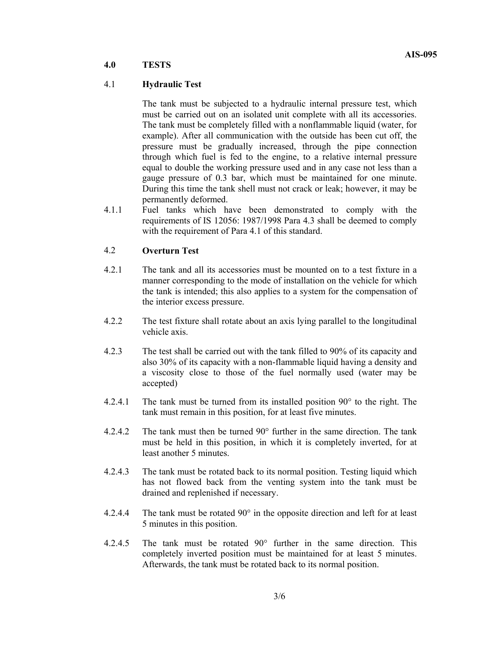## **4.0 TESTS**

## 4.1 **Hydraulic Test**

 The tank must be subjected to a hydraulic internal pressure test, which must be carried out on an isolated unit complete with all its accessories. The tank must be completely filled with a nonflammable liquid (water, for example). After all communication with the outside has been cut off, the pressure must be gradually increased, through the pipe connection through which fuel is fed to the engine, to a relative internal pressure equal to double the working pressure used and in any case not less than a gauge pressure of 0.3 bar, which must be maintained for one minute. During this time the tank shell must not crack or leak; however, it may be permanently deformed.

4.1.1 Fuel tanks which have been demonstrated to comply with the requirements of IS 12056: 1987/1998 Para 4.3 shall be deemed to comply with the requirement of Para 4.1 of this standard.

## 4.2 **Overturn Test**

- 4.2.1 The tank and all its accessories must be mounted on to a test fixture in a manner corresponding to the mode of installation on the vehicle for which the tank is intended; this also applies to a system for the compensation of the interior excess pressure.
- 4.2.2 The test fixture shall rotate about an axis lying parallel to the longitudinal vehicle axis.
- 4.2.3 The test shall be carried out with the tank filled to 90% of its capacity and also 30% of its capacity with a non-flammable liquid having a density and a viscosity close to those of the fuel normally used (water may be accepted)
- 4.2.4.1 The tank must be turned from its installed position 90° to the right. The tank must remain in this position, for at least five minutes.
- 4.2.4.2 The tank must then be turned 90° further in the same direction. The tank must be held in this position, in which it is completely inverted, for at least another 5 minutes.
- 4.2.4.3 The tank must be rotated back to its normal position. Testing liquid which has not flowed back from the venting system into the tank must be drained and replenished if necessary.
- 4.2.4.4 The tank must be rotated  $90^\circ$  in the opposite direction and left for at least 5 minutes in this position.
- 4.2.4.5 The tank must be rotated 90° further in the same direction. This completely inverted position must be maintained for at least 5 minutes. Afterwards, the tank must be rotated back to its normal position.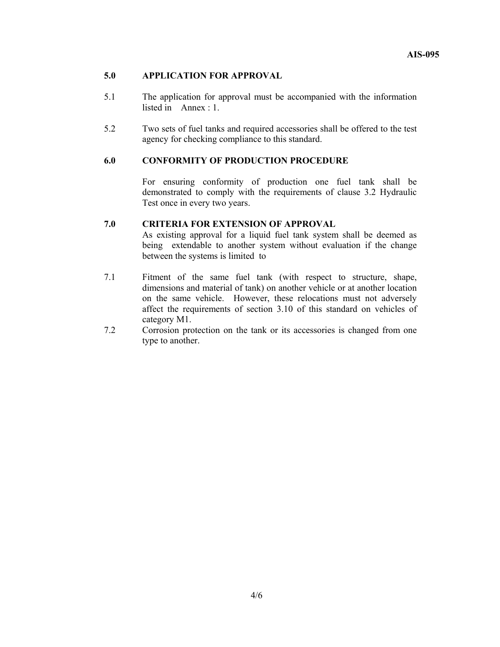## **5.0 APPLICATION FOR APPROVAL**

- 5.1 The application for approval must be accompanied with the information listed in Annex : 1.
- 5.2 Two sets of fuel tanks and required accessories shall be offered to the test agency for checking compliance to this standard.

### **6.0 CONFORMITY OF PRODUCTION PROCEDURE**

 For ensuring conformity of production one fuel tank shall be demonstrated to comply with the requirements of clause 3.2 Hydraulic Test once in every two years.

### **7.0 CRITERIA FOR EXTENSION OF APPROVAL**

 As existing approval for a liquid fuel tank system shall be deemed as being extendable to another system without evaluation if the change between the systems is limited to

- 7.1 Fitment of the same fuel tank (with respect to structure, shape, dimensions and material of tank) on another vehicle or at another location on the same vehicle. However, these relocations must not adversely affect the requirements of section 3.10 of this standard on vehicles of category M1.
- 7.2 Corrosion protection on the tank or its accessories is changed from one type to another.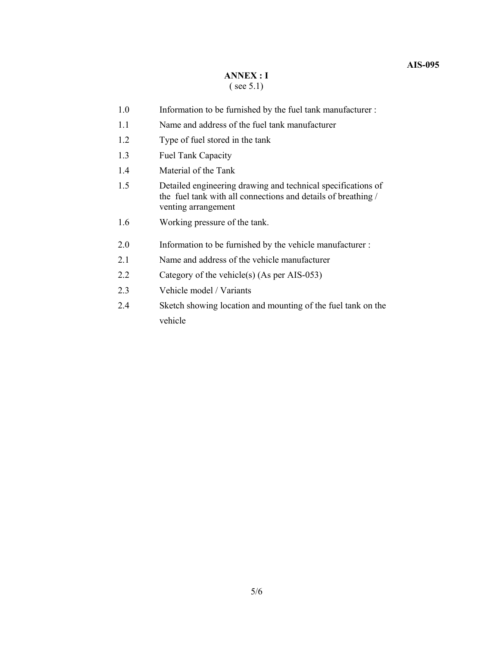#### **AIS-095**

## **ANNEX : I**  ( see 5.1)

- 1.0 Information to be furnished by the fuel tank manufacturer :
- 1.1 Name and address of the fuel tank manufacturer
- 1.2 Type of fuel stored in the tank
- 1.3 Fuel Tank Capacity
- 1.4 Material of the Tank
- 1.5 Detailed engineering drawing and technical specifications of the fuel tank with all connections and details of breathing / venting arrangement
- 1.6 Working pressure of the tank.
- 2.0 Information to be furnished by the vehicle manufacturer :
- 2.1 Name and address of the vehicle manufacturer
- 2.2 Category of the vehicle(s) (As per AIS-053)
- 2.3 Vehicle model / Variants
- 2.4 Sketch showing location and mounting of the fuel tank on the vehicle